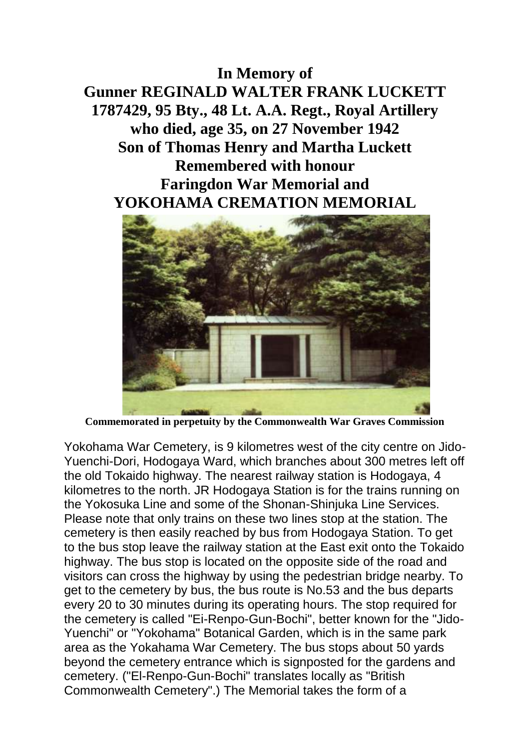## **In Memory of**

**Gunner REGINALD WALTER FRANK LUCKETT 1787429, 95 Bty., 48 Lt. A.A. Regt., Royal Artillery who died, age 35, on 27 November 1942 Son of Thomas Henry and Martha Luckett Remembered with honour Faringdon War Memorial and YOKOHAMA CREMATION MEMORIAL**



**Commemorated in perpetuity by the Commonwealth War Graves Commission**

Yokohama War Cemetery, is 9 kilometres west of the city centre on Jido-Yuenchi-Dori, Hodogaya Ward, which branches about 300 metres left off the old Tokaido highway. The nearest railway station is Hodogaya, 4 kilometres to the north. JR Hodogaya Station is for the trains running on the Yokosuka Line and some of the Shonan-Shinjuka Line Services. Please note that only trains on these two lines stop at the station. The cemetery is then easily reached by bus from Hodogaya Station. To get to the bus stop leave the railway station at the East exit onto the Tokaido highway. The bus stop is located on the opposite side of the road and visitors can cross the highway by using the pedestrian bridge nearby. To get to the cemetery by bus, the bus route is No.53 and the bus departs every 20 to 30 minutes during its operating hours. The stop required for the cemetery is called "Ei-Renpo-Gun-Bochi", better known for the "Jido-Yuenchi" or "Yokohama" Botanical Garden, which is in the same park area as the Yokahama War Cemetery. The bus stops about 50 yards beyond the cemetery entrance which is signposted for the gardens and cemetery. ("El-Renpo-Gun-Bochi" translates locally as "British Commonwealth Cemetery".) The Memorial takes the form of a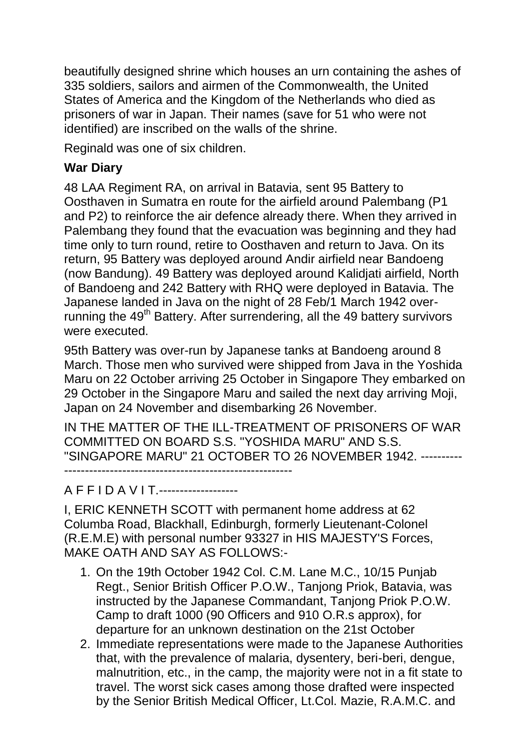beautifully designed shrine which houses an urn containing the ashes of 335 soldiers, sailors and airmen of the Commonwealth, the United States of America and the Kingdom of the Netherlands who died as prisoners of war in Japan. Their names (save for 51 who were not identified) are inscribed on the walls of the shrine.

Reginald was one of six children.

## **War Diary**

48 LAA Regiment RA, on arrival in Batavia, sent 95 Battery to Oosthaven in Sumatra en route for the airfield around Palembang (P1 and P2) to reinforce the air defence already there. When they arrived in Palembang they found that the evacuation was beginning and they had time only to turn round, retire to Oosthaven and return to Java. On its return, 95 Battery was deployed around Andir airfield near Bandoeng (now Bandung). 49 Battery was deployed around Kalidjati airfield, North of Bandoeng and 242 Battery with RHQ were deployed in Batavia. The Japanese landed in Java on the night of 28 Feb/1 March 1942 overrunning the 49<sup>th</sup> Battery. After surrendering, all the 49 battery survivors were executed.

95th Battery was over-run by Japanese tanks at Bandoeng around 8 March. Those men who survived were shipped from Java in the Yoshida Maru on 22 October arriving 25 October in Singapore They embarked on 29 October in the Singapore Maru and sailed the next day arriving Moji, Japan on 24 November and disembarking 26 November.

IN THE MATTER OF THE ILL-TREATMENT OF PRISONERS OF WAR COMMITTED ON BOARD S.S. "YOSHIDA MARU" AND S.S. "SINGAPORE MARU" 21 OCTOBER TO 26 NOVEMBER 1942. ----------

-------------------------------------------------------

A F F I D A V I T.------------------

I, ERIC KENNETH SCOTT with permanent home address at 62 Columba Road, Blackhall, Edinburgh, formerly Lieutenant-Colonel (R.E.M.E) with personal number 93327 in HIS MAJESTY'S Forces, MAKE OATH AND SAY AS FOLLOWS:-

- 1. On the 19th October 1942 Col. C.M. Lane M.C., 10/15 Punjab Regt., Senior British Officer P.O.W., Tanjong Priok, Batavia, was instructed by the Japanese Commandant, Tanjong Priok P.O.W. Camp to draft 1000 (90 Officers and 910 O.R.s approx), for departure for an unknown destination on the 21st October
- 2. Immediate representations were made to the Japanese Authorities that, with the prevalence of malaria, dysentery, beri-beri, dengue, malnutrition, etc., in the camp, the majority were not in a fit state to travel. The worst sick cases among those drafted were inspected by the Senior British Medical Officer, Lt.Col. Mazie, R.A.M.C. and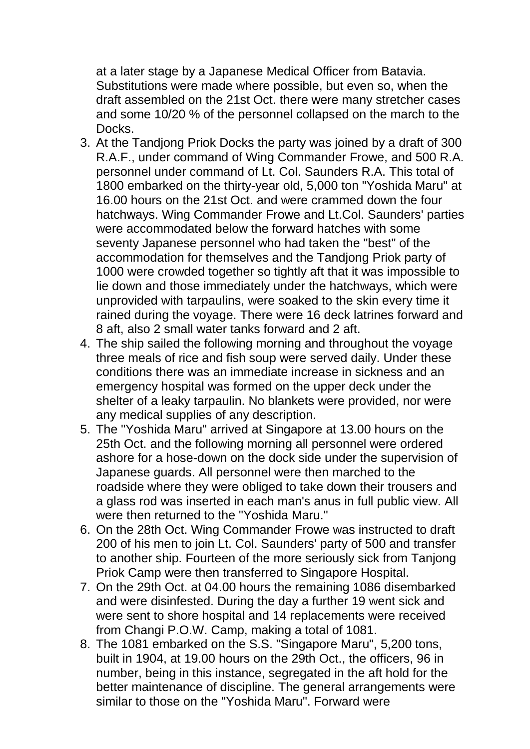at a later stage by a Japanese Medical Officer from Batavia. Substitutions were made where possible, but even so, when the draft assembled on the 21st Oct. there were many stretcher cases and some 10/20 % of the personnel collapsed on the march to the Docks.

- 3. At the Tandjong Priok Docks the party was joined by a draft of 300 R.A.F., under command of Wing Commander Frowe, and 500 R.A. personnel under command of Lt. Col. Saunders R.A. This total of 1800 embarked on the thirty-year old, 5,000 ton "Yoshida Maru" at 16.00 hours on the 21st Oct. and were crammed down the four hatchways. Wing Commander Frowe and Lt.Col. Saunders' parties were accommodated below the forward hatches with some seventy Japanese personnel who had taken the "best" of the accommodation for themselves and the Tandjong Priok party of 1000 were crowded together so tightly aft that it was impossible to lie down and those immediately under the hatchways, which were unprovided with tarpaulins, were soaked to the skin every time it rained during the voyage. There were 16 deck latrines forward and 8 aft, also 2 small water tanks forward and 2 aft.
- 4. The ship sailed the following morning and throughout the voyage three meals of rice and fish soup were served daily. Under these conditions there was an immediate increase in sickness and an emergency hospital was formed on the upper deck under the shelter of a leaky tarpaulin. No blankets were provided, nor were any medical supplies of any description.
- 5. The "Yoshida Maru" arrived at Singapore at 13.00 hours on the 25th Oct. and the following morning all personnel were ordered ashore for a hose-down on the dock side under the supervision of Japanese guards. All personnel were then marched to the roadside where they were obliged to take down their trousers and a glass rod was inserted in each man's anus in full public view. All were then returned to the "Yoshida Maru."
- 6. On the 28th Oct. Wing Commander Frowe was instructed to draft 200 of his men to join Lt. Col. Saunders' party of 500 and transfer to another ship. Fourteen of the more seriously sick from Tanjong Priok Camp were then transferred to Singapore Hospital.
- 7. On the 29th Oct. at 04.00 hours the remaining 1086 disembarked and were disinfested. During the day a further 19 went sick and were sent to shore hospital and 14 replacements were received from Changi P.O.W. Camp, making a total of 1081.
- 8. The 1081 embarked on the S.S. "Singapore Maru", 5,200 tons, built in 1904, at 19.00 hours on the 29th Oct., the officers, 96 in number, being in this instance, segregated in the aft hold for the better maintenance of discipline. The general arrangements were similar to those on the "Yoshida Maru". Forward were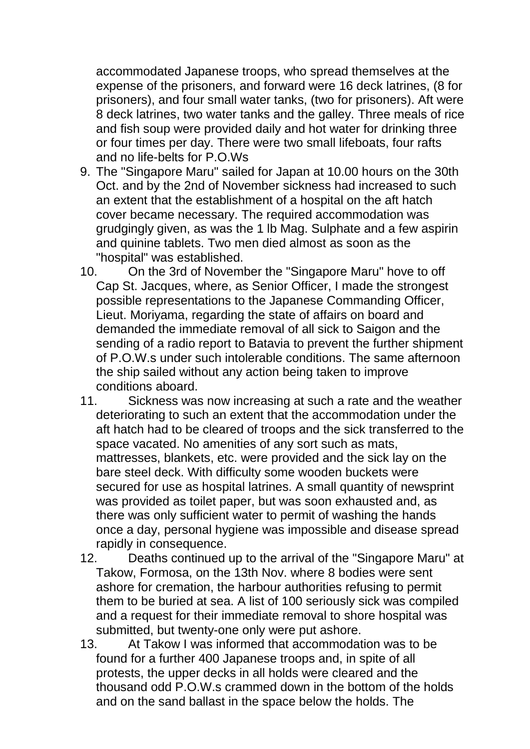accommodated Japanese troops, who spread themselves at the expense of the prisoners, and forward were 16 deck latrines, (8 for prisoners), and four small water tanks, (two for prisoners). Aft were 8 deck latrines, two water tanks and the galley. Three meals of rice and fish soup were provided daily and hot water for drinking three or four times per day. There were two small lifeboats, four rafts and no life-belts for P.O.Ws

- 9. The "Singapore Maru" sailed for Japan at 10.00 hours on the 30th Oct. and by the 2nd of November sickness had increased to such an extent that the establishment of a hospital on the aft hatch cover became necessary. The required accommodation was grudgingly given, as was the 1 lb Mag. Sulphate and a few aspirin and quinine tablets. Two men died almost as soon as the "hospital" was established.
- 10. On the 3rd of November the "Singapore Maru" hove to off Cap St. Jacques, where, as Senior Officer, I made the strongest possible representations to the Japanese Commanding Officer, Lieut. Moriyama, regarding the state of affairs on board and demanded the immediate removal of all sick to Saigon and the sending of a radio report to Batavia to prevent the further shipment of P.O.W.s under such intolerable conditions. The same afternoon the ship sailed without any action being taken to improve conditions aboard.
- 11. Sickness was now increasing at such a rate and the weather deteriorating to such an extent that the accommodation under the aft hatch had to be cleared of troops and the sick transferred to the space vacated. No amenities of any sort such as mats, mattresses, blankets, etc. were provided and the sick lay on the bare steel deck. With difficulty some wooden buckets were secured for use as hospital latrines. A small quantity of newsprint was provided as toilet paper, but was soon exhausted and, as there was only sufficient water to permit of washing the hands once a day, personal hygiene was impossible and disease spread rapidly in consequence.
- 12. Deaths continued up to the arrival of the "Singapore Maru" at Takow, Formosa, on the 13th Nov. where 8 bodies were sent ashore for cremation, the harbour authorities refusing to permit them to be buried at sea. A list of 100 seriously sick was compiled and a request for their immediate removal to shore hospital was submitted, but twenty-one only were put ashore.
- 13. At Takow I was informed that accommodation was to be found for a further 400 Japanese troops and, in spite of all protests, the upper decks in all holds were cleared and the thousand odd P.O.W.s crammed down in the bottom of the holds and on the sand ballast in the space below the holds. The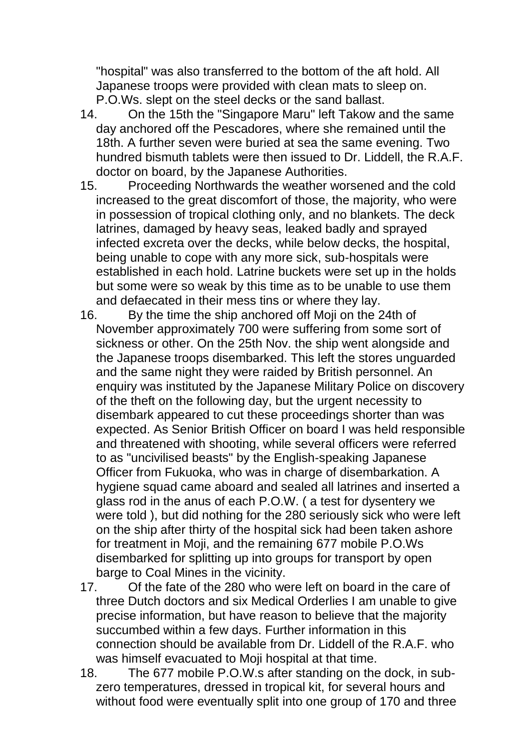"hospital" was also transferred to the bottom of the aft hold. All Japanese troops were provided with clean mats to sleep on. P.O.Ws. slept on the steel decks or the sand ballast.

- 14. On the 15th the "Singapore Maru" left Takow and the same day anchored off the Pescadores, where she remained until the 18th. A further seven were buried at sea the same evening. Two hundred bismuth tablets were then issued to Dr. Liddell, the R.A.F. doctor on board, by the Japanese Authorities.
- 15. Proceeding Northwards the weather worsened and the cold increased to the great discomfort of those, the majority, who were in possession of tropical clothing only, and no blankets. The deck latrines, damaged by heavy seas, leaked badly and sprayed infected excreta over the decks, while below decks, the hospital, being unable to cope with any more sick, sub-hospitals were established in each hold. Latrine buckets were set up in the holds but some were so weak by this time as to be unable to use them and defaecated in their mess tins or where they lay.
- 16. By the time the ship anchored off Moji on the 24th of November approximately 700 were suffering from some sort of sickness or other. On the 25th Nov. the ship went alongside and the Japanese troops disembarked. This left the stores unguarded and the same night they were raided by British personnel. An enquiry was instituted by the Japanese Military Police on discovery of the theft on the following day, but the urgent necessity to disembark appeared to cut these proceedings shorter than was expected. As Senior British Officer on board I was held responsible and threatened with shooting, while several officers were referred to as "uncivilised beasts" by the English-speaking Japanese Officer from Fukuoka, who was in charge of disembarkation. A hygiene squad came aboard and sealed all latrines and inserted a glass rod in the anus of each P.O.W. ( a test for dysentery we were told ), but did nothing for the 280 seriously sick who were left on the ship after thirty of the hospital sick had been taken ashore for treatment in Moji, and the remaining 677 mobile P.O.Ws disembarked for splitting up into groups for transport by open barge to Coal Mines in the vicinity.
- 17. Of the fate of the 280 who were left on board in the care of three Dutch doctors and six Medical Orderlies I am unable to give precise information, but have reason to believe that the majority succumbed within a few days. Further information in this connection should be available from Dr. Liddell of the R.A.F. who was himself evacuated to Moji hospital at that time.
- 18. The 677 mobile P.O.W.s after standing on the dock, in subzero temperatures, dressed in tropical kit, for several hours and without food were eventually split into one group of 170 and three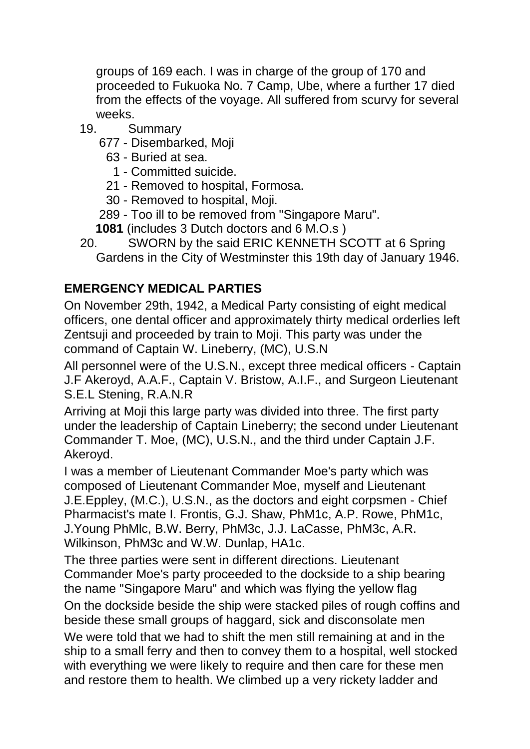groups of 169 each. I was in charge of the group of 170 and proceeded to Fukuoka No. 7 Camp, Ube, where a further 17 died from the effects of the voyage. All suffered from scurvy for several weeks.

- 19. Summary
	- 677 Disembarked, Moji
		- 63 Buried at sea.
			- 1 Committed suicide.
		- 21 Removed to hospital, Formosa.
		- 30 Removed to hospital, Moji.
	- 289 Too ill to be removed from "Singapore Maru".
	- **1081** (includes 3 Dutch doctors and 6 M.O.s )
- 20. SWORN by the said ERIC KENNETH SCOTT at 6 Spring Gardens in the City of Westminster this 19th day of January 1946.

## **EMERGENCY MEDICAL PARTIES**

On November 29th, 1942, a Medical Party consisting of eight medical officers, one dental officer and approximately thirty medical orderlies left Zentsuji and proceeded by train to Moji. This party was under the command of Captain W. Lineberry, (MC), U.S.N

All personnel were of the U.S.N., except three medical officers - Captain J.F Akeroyd, A.A.F., Captain V. Bristow, A.I.F., and Surgeon Lieutenant S.E.L Stening, R.A.N.R

Arriving at Moji this large party was divided into three. The first party under the leadership of Captain Lineberry; the second under Lieutenant Commander T. Moe, (MC), U.S.N., and the third under Captain J.F. Akeroyd.

I was a member of Lieutenant Commander Moe's party which was composed of Lieutenant Commander Moe, myself and Lieutenant J.E.Eppley, (M.C.), U.S.N., as the doctors and eight corpsmen - Chief Pharmacist's mate I. Frontis, G.J. Shaw, PhM1c, A.P. Rowe, PhM1c, J.Young PhMlc, B.W. Berry, PhM3c, J.J. LaCasse, PhM3c, A.R. Wilkinson, PhM3c and W.W. Dunlap, HA1c.

The three parties were sent in different directions. Lieutenant Commander Moe's party proceeded to the dockside to a ship bearing the name "Singapore Maru" and which was flying the yellow flag

On the dockside beside the ship were stacked piles of rough coffins and beside these small groups of haggard, sick and disconsolate men We were told that we had to shift the men still remaining at and in the ship to a small ferry and then to convey them to a hospital, well stocked with everything we were likely to require and then care for these men and restore them to health. We climbed up a very rickety ladder and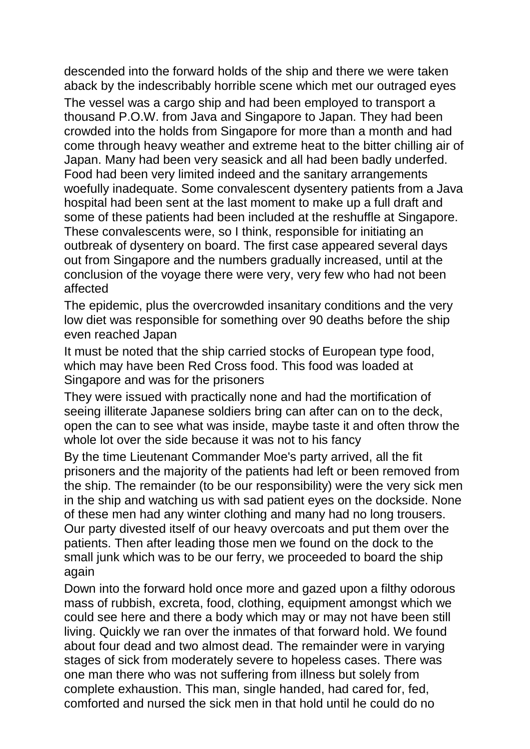descended into the forward holds of the ship and there we were taken aback by the indescribably horrible scene which met our outraged eyes The vessel was a cargo ship and had been employed to transport a thousand P.O.W. from Java and Singapore to Japan. They had been crowded into the holds from Singapore for more than a month and had come through heavy weather and extreme heat to the bitter chilling air of Japan. Many had been very seasick and all had been badly underfed. Food had been very limited indeed and the sanitary arrangements woefully inadequate. Some convalescent dysentery patients from a Java hospital had been sent at the last moment to make up a full draft and some of these patients had been included at the reshuffle at Singapore. These convalescents were, so I think, responsible for initiating an outbreak of dysentery on board. The first case appeared several days out from Singapore and the numbers gradually increased, until at the conclusion of the voyage there were very, very few who had not been affected

The epidemic, plus the overcrowded insanitary conditions and the very low diet was responsible for something over 90 deaths before the ship even reached Japan

It must be noted that the ship carried stocks of European type food, which may have been Red Cross food. This food was loaded at Singapore and was for the prisoners

They were issued with practically none and had the mortification of seeing illiterate Japanese soldiers bring can after can on to the deck, open the can to see what was inside, maybe taste it and often throw the whole lot over the side because it was not to his fancy

By the time Lieutenant Commander Moe's party arrived, all the fit prisoners and the majority of the patients had left or been removed from the ship. The remainder (to be our responsibility) were the very sick men in the ship and watching us with sad patient eyes on the dockside. None of these men had any winter clothing and many had no long trousers. Our party divested itself of our heavy overcoats and put them over the patients. Then after leading those men we found on the dock to the small junk which was to be our ferry, we proceeded to board the ship again

Down into the forward hold once more and gazed upon a filthy odorous mass of rubbish, excreta, food, clothing, equipment amongst which we could see here and there a body which may or may not have been still living. Quickly we ran over the inmates of that forward hold. We found about four dead and two almost dead. The remainder were in varying stages of sick from moderately severe to hopeless cases. There was one man there who was not suffering from illness but solely from complete exhaustion. This man, single handed, had cared for, fed, comforted and nursed the sick men in that hold until he could do no